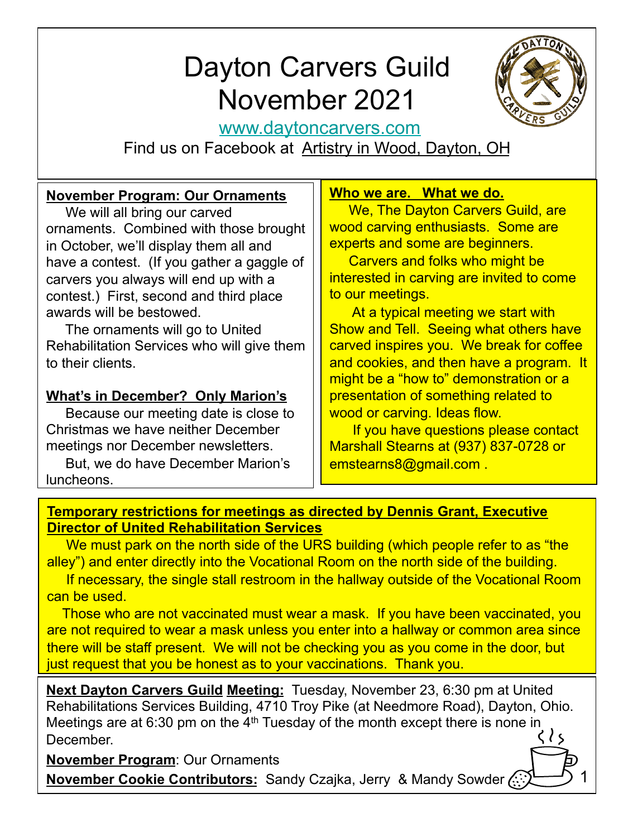# Dayton Carvers Guild November 2021



1

www.daytoncarvers.com

Find us on Facebook at Artistry in Wood, Dayton, OH

## **November Program: Our Ornaments**

 We will all bring our carved ornaments. Combined with those brought in October, we'll display them all and have a contest. (If you gather a gaggle of carvers you always will end up with a contest.) First, second and third place awards will be bestowed.

 The ornaments will go to United Rehabilitation Services who will give them to their clients.

## **What's in December? Only Marion's**

 Because our meeting date is close to Christmas we have neither December meetings nor December newsletters.

 But, we do have December Marion's luncheons.

#### **Who we are. What we do.**

 We, The Dayton Carvers Guild, are wood carving enthusiasts. Some are experts and some are beginners.

 Carvers and folks who might be interested in carving are invited to come to our meetings.

 At a typical meeting we start with Show and Tell. Seeing what others have carved inspires you. We break for coffee and cookies, and then have a program. It might be a "how to" demonstration or a presentation of something related to wood or carving. Ideas flow.

 If you have questions please contact Marshall Stearns at (937) 837-0728 or emstearns8@gmail.com .

### **Temporary restrictions for meetings as directed by Dennis Grant, Executive Director of United Rehabilitation Services**

We must park on the north side of the URS building (which people refer to as "the alley") and enter directly into the Vocational Room on the north side of the building.

 If necessary, the single stall restroom in the hallway outside of the Vocational Room can be used.

 Those who are not vaccinated must wear a mask. If you have been vaccinated, you are not required to wear a mask unless you enter into a hallway or common area since there will be staff present. We will not be checking you as you come in the door, but just request that you be honest as to your vaccinations. Thank you.

**Next Dayton Carvers Guild Meeting:** Tuesday, November 23, 6:30 pm at United Rehabilitations Services Building, 4710 Troy Pike (at Needmore Road), Dayton, Ohio. Meetings are at 6:30 pm on the 4<sup>th</sup> Tuesday of the month except there is none in  $\langle \rangle$ **December** 

**November Program**: Our Ornaments **November Cookie Contributors:** Sandy Czajka, Jerry & Mandy Sowder